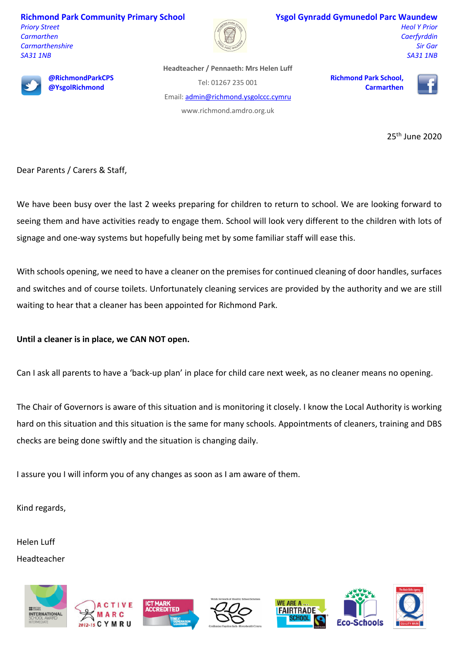**Richmond Park Community Primary School** *Priory Street Carmarthen Carmarthenshire SA31 1NB*



## **Ysgol Gynradd Gymunedol Parc Waundew**

*Heol Y Prior Caerfyrddin Sir Gar SA31 1NB*



**@RichmondParkCPS @YsgolRichmond**

**Headteacher / Pennaeth: Mrs Helen Luff** Tel: 01267 235 001 Email: admin@richmond.ysgolccc.cymru

**Richmond Park School, Carmarthen**



www.richmond.amdro.org.uk

25th June 2020

Dear Parents / Carers & Staff,

We have been busy over the last 2 weeks preparing for children to return to school. We are looking forward to seeing them and have activities ready to engage them. School will look very different to the children with lots of signage and one-way systems but hopefully being met by some familiar staff will ease this.

With schools opening, we need to have a cleaner on the premises for continued cleaning of door handles, surfaces and switches and of course toilets. Unfortunately cleaning services are provided by the authority and we are still waiting to hear that a cleaner has been appointed for Richmond Park.

**Until a cleaner is in place, we CAN NOT open.**

Can I ask all parents to have a 'back-up plan' in place for child care next week, as no cleaner means no opening.

The Chair of Governors is aware of this situation and is monitoring it closely. I know the Local Authority is working hard on this situation and this situation is the same for many schools. Appointments of cleaners, training and DBS checks are being done swiftly and the situation is changing daily.

I assure you I will inform you of any changes as soon as I am aware of them.

Kind regards,

Helen Luff Headteacher